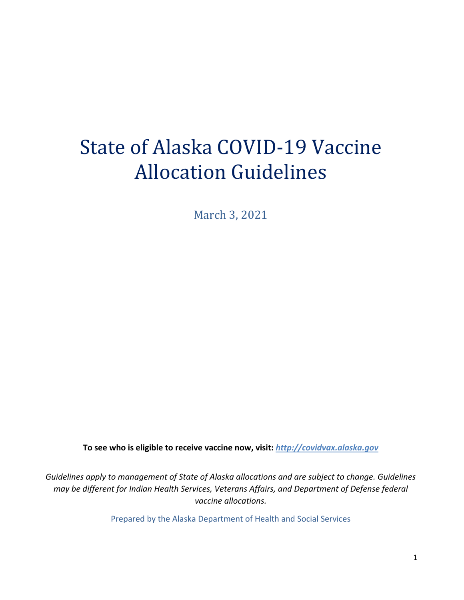# State of Alaska COVID-19 Vaccine Allocation Guidelines

March 3, 2021

**To see who is eligible to receive vaccine now, visit:** *[http://covidvax.alaska.gov](http://covidvax.alaska.gov/)*

*Guidelines apply to management of State of Alaska allocations and are subject to change. Guidelines may be different for Indian Health Services, Veterans Affairs, and Department of Defense federal vaccine allocations.*

Prepared by the Alaska Department of Health and Social Services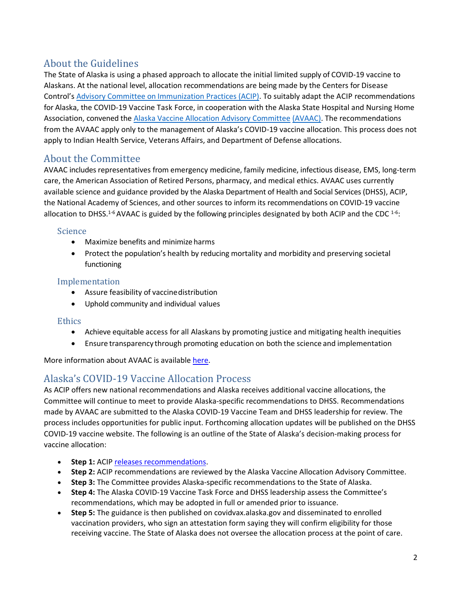## About the Guidelines

The State of Alaska is using a phased approach to allocate the initial limited supply of COVID-19 vaccine to Alaskans. At the national level, allocation recommendations are being made by the Centers for Disease Control's [Advisory Committee on Immunization Practices \(ACIP\). T](https://www.cdc.gov/vaccines/acip/index.html)o suitably adapt the ACIP recommendations for Alaska, the COVID-19 Vaccine Task Force, in cooperation with the Alaska State Hospital and Nursing Home Association, convened the [Alaska Vaccine Allocation Advisory Committee](http://dhss.alaska.gov/dph/Epi/id/SiteAssets/Pages/HumanCoV/AlaskaAllocationCommitteeMembers.pdf) [\(AVAAC\).](http://dhss.alaska.gov/dph/Epi/id/SiteAssets/Pages/HumanCoV/AlaskaAllocationCommitteeMembers.pdf) The recommendations from the AVAAC apply only to the management of Alaska's COVID-19 vaccine allocation. This process does not apply to Indian Health Service, Veterans Affairs, and Department of Defense allocations.

## About the Committee

AVAAC includes representatives from emergency medicine, family medicine, infectious disease, EMS, long-term care, the American Association of Retired Persons, pharmacy, and medical ethics. AVAAC uses currently available science and guidance provided by the Alaska Department of Health and Social Services (DHSS), ACIP, the National Academy of Sciences, and other sources to inform its recommendations on COVID-19 vaccine allocation to DHSS.<sup>1-6</sup> AVAAC is guided by the following principles designated by both ACIP and the CDC <sup>1-6</sup>:

## Science

- Maximize benefits and minimize harms
- Protect the population's health by reducing mortality and morbidity and preserving societal functioning

## Implementation

- Assure feasibility of vaccinedistribution
- Uphold community and individual values

## **Ethics**

- Achieve equitable access for all Alaskans by promoting justice and mitigating health inequities
- Ensure transparency through promoting education on both the science and implementation

More information about AVAAC is available [here.](http://dhss.alaska.gov/dph/Epi/id/SiteAssets/Pages/HumanCoV/AlaskaAllocationCommitteeMembers.pdf)

## Alaska's COVID-19 Vaccine Allocation Process

As ACIP offers new national recommendations and Alaska receives additional vaccine allocations, the Committee will continue to meet to provide Alaska-specific recommendations to DHSS. Recommendations made by AVAAC are submitted to the Alaska COVID-19 Vaccine Team and DHSS leadership for review. The process includes opportunities for public input. Forthcoming allocation updates will be published on the DHSS COVID-19 vaccine website. The following is an outline of the State of Alaska's decision-making process for vaccine allocation:

- **Step 1:** ACIP [releases recommendations.](https://www.cdc.gov/vaccines/hcp/acip-recs/vacc-specific/covid-19.html)
- **Step 2:** ACIP recommendations are reviewed by the Alaska Vaccine Allocation Advisory Committee.
- **Step 3:** The Committee provides Alaska-specific recommendations to the State of Alaska.
- **Step 4:** The Alaska COVID-19 Vaccine Task Force and DHSS leadership assess the Committee's recommendations, which may be adopted in full or amended prior to issuance.
- **Step 5:** The guidance is then published on covidvax.alaska.gov and disseminated to enrolled vaccination providers, who sign an attestation form saying they will confirm eligibility for those receiving vaccine. The State of Alaska does not oversee the allocation process at the point of care.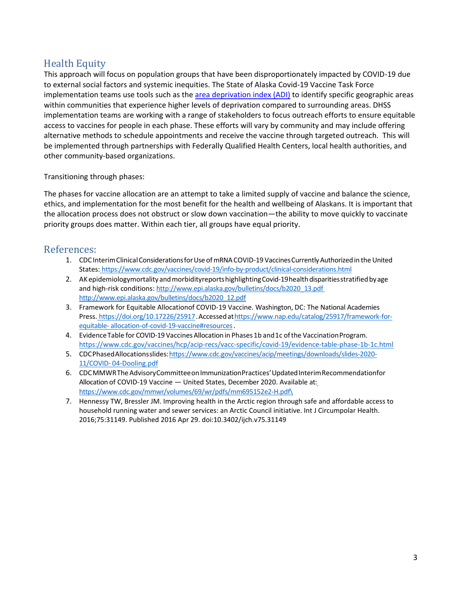## Health Equity

This approach will focus on population groups that have been disproportionately impacted by COVID-19 due to external social factors and systemic inequities. The State of Alaska Covid-19 Vaccine Task Force implementation teams use tools such as the [area deprivation index \(ADI\)](https://www.neighborhoodatlas.medicine.wisc.edu/mapping) to identify specific geographic areas within communities that experience higher levels of deprivation compared to surrounding areas. DHSS implementation teams are working with a range of stakeholders to focus outreach efforts to ensure equitable access to vaccines for people in each phase. These efforts will vary by community and may include offering alternative methods to schedule appointments and receive the vaccine through targeted outreach. This will be implemented through partnerships with Federally Qualified Health Centers, local health authorities, and other community-based organizations.

Transitioning through phases:

The phases for vaccine allocation are an attempt to take a limited supply of vaccine and balance the science, ethics, and implementation for the most benefit for the health and wellbeing of Alaskans. It is important that the allocation process does not obstruct or slow down vaccination—the ability to move quickly to vaccinate priority groups does matter. Within each tier, all groups have equal priority.

## References:

- 1. CDC Interim Clinical Considerations for Use of mRNA COVID-19 Vaccines Currently Authorized in the United States: <https://www.cdc.gov/vaccines/covid-19/info-by-product/clinical-considerations.html>
- 2. AKepidemiologymortalityandmorbidityreportshighlightingCovid-19healthdisparitiesstratifiedbyage and high-risk conditions: [http://www.epi.alaska.gov/bulletins/docs/b2020\\_13.pdf](http://www.epi.alaska.gov/bulletins/docs/b2020_13.pdf) [http://www.epi.alaska.gov/bulletins/docs/b2020\\_12.pdf](http://www.epi.alaska.gov/bulletins/docs/b2020_12.pdf)
- 3. Framework for Equitable Allocationof COVID-19 Vaccine. Washington, DC: The National Academies Press. [https://doi.org/10.17226/25917.](https://doi.org/10.17226/25917)Accesseda[thttps://www.nap.edu/catalog/25917/framework-for](https://www.nap.edu/catalog/25917/framework-for-equitable-allocation-of-covid-19-vaccine#resources)[equitable-](https://www.nap.edu/catalog/25917/framework-for-equitable-allocation-of-covid-19-vaccine#resources) [allocation-of-covid-19-vaccine#resources.](https://www.nap.edu/catalog/25917/framework-for-equitable-allocation-of-covid-19-vaccine#resources)
- 4. Evidence Table for COVID-19 Vaccines Allocation in Phases 1b and 1c of the Vaccination Program. <https://www.cdc.gov/vaccines/hcp/acip-recs/vacc-specific/covid-19/evidence-table-phase-1b-1c.html>
- 5. CDCPhasedAllocationsslide[s:https://www.cdc.gov/vaccines/acip/meetings/downloads/slides-2020-](https://www.cdc.gov/vaccines/acip/meetings/downloads/slides-2020-11/COVID-04-Dooling.pdf) [11/COVID-](https://www.cdc.gov/vaccines/acip/meetings/downloads/slides-2020-11/COVID-04-Dooling.pdf) [04-Dooling.pdf](https://www.cdc.gov/vaccines/acip/meetings/downloads/slides-2020-11/COVID-04-Dooling.pdf)
- 6. CDCMMWRThe Advisory Committee on Immunization Practices' Updated Interim Recommendationfor Allocation of COVID-19 Vaccine — United States, December 2020. Available a[t:](https://www.cdc.gov/mmwr/volumes/69/wr/pdfs/mm695152e2-H.pdf) [https://www.cdc.gov/mmwr/volumes/69/wr/pdfs/mm695152e2-H.pdf\](https://www.cdc.gov/mmwr/volumes/69/wr/pdfs/mm695152e2-H.pdf)
- 7. Hennessy TW, Bressler JM. Improving health in the Arctic region through safe and affordable access to household running water and sewer services: an Arctic Council initiative. Int J Circumpolar Health. 2016;75:31149. Published 2016 Apr 29. doi:10.3402/ijch.v75.31149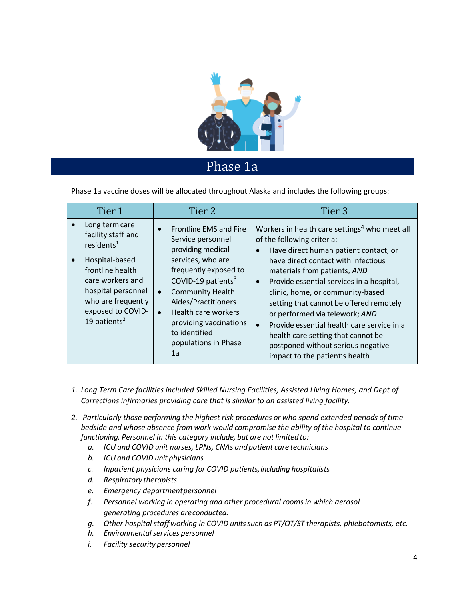

## Phase 1a

Phase 1a vaccine doses will be allocated throughout Alaska and includes the following groups:

| Tier 1                                                                                                                                                                                                                | Tier 2                                                                                                                                                                                                                                                                                                                                    | Tier <sub>3</sub>                                                                                                                                                                                                                                                                                                                                                                                                                                                                                                                                                        |
|-----------------------------------------------------------------------------------------------------------------------------------------------------------------------------------------------------------------------|-------------------------------------------------------------------------------------------------------------------------------------------------------------------------------------------------------------------------------------------------------------------------------------------------------------------------------------------|--------------------------------------------------------------------------------------------------------------------------------------------------------------------------------------------------------------------------------------------------------------------------------------------------------------------------------------------------------------------------------------------------------------------------------------------------------------------------------------------------------------------------------------------------------------------------|
| Long term care<br>facility staff and<br>residents <sup>1</sup><br>Hospital-based<br>frontline health<br>care workers and<br>hospital personnel<br>who are frequently<br>exposed to COVID-<br>19 patients <sup>2</sup> | Frontline EMS and Fire<br>$\bullet$<br>Service personnel<br>providing medical<br>services, who are<br>frequently exposed to<br>COVID-19 patients <sup>3</sup><br><b>Community Health</b><br>$\bullet$<br>Aides/Practitioners<br>Health care workers<br>$\bullet$<br>providing vaccinations<br>to identified<br>populations in Phase<br>1a | Workers in health care settings <sup>4</sup> who meet all<br>of the following criteria:<br>Have direct human patient contact, or<br>$\bullet$<br>have direct contact with infectious<br>materials from patients, AND<br>Provide essential services in a hospital,<br>$\bullet$<br>clinic, home, or community-based<br>setting that cannot be offered remotely<br>or performed via telework; AND<br>Provide essential health care service in a<br>$\bullet$<br>health care setting that cannot be<br>postponed without serious negative<br>impact to the patient's health |

- *1. Long Term Care facilities included Skilled Nursing Facilities, Assisted Living Homes, and Dept of Corrections infirmaries providing care that is similar to an assisted living facility.*
- *2. Particularly those performing the highest risk procedures or who spend extended periods of time bedside and whose absence from work would compromise the ability of the hospital to continue functioning. Personnel in this category include, but are not limitedto:*
	- *a. ICU and COVID unit nurses, LPNs, CNAs andpatient care technicians*
	- *b. ICU and COVID unit physicians*
	- *c. Inpatient physicians caring for COVID patients,including hospitalists*
	- *d. Respiratory therapists*
	- *e. Emergency departmentpersonnel*
	- *f. Personnel working in operating and other procedural rooms in which aerosol generating procedures areconducted.*
	- *g. Other hospital staffworking in COVID unitssuch as PT/OT/ST therapists, phlebotomists, etc.*
	- *h. Environmental services personnel*
	- *i. Facility security personnel*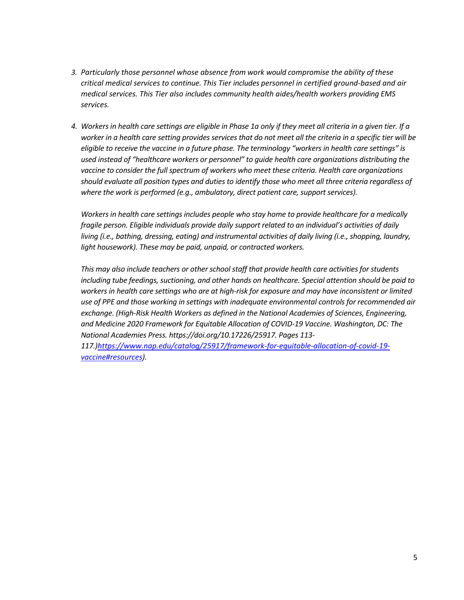- *3. Particularly those personnel whose absence from work would compromise the ability of these critical medical services to continue. This Tier includes personnel in certified ground-based and air medical services. This Tier also includes community health aides/health workers providing EMS services.*
- *4. Workers in health care settings are eligible in Phase 1a only if they meet all criteria in a given tier. If a worker in a health care setting provides services that do not meet all the criteria in a specific tier will be eligible to receive the vaccine in a future phase. The terminology "workers in health care settings" is used instead of "healthcare workers or personnel" to guide health care organizations distributing the vaccine to consider the full spectrum of workers who meet these criteria. Health care organizations should evaluate all position types and duties to identify those who meet all three criteria regardless of where the work is performed (e.g., ambulatory, direct patient care, support services).*

*Workers in health care settings includes people who stay home to provide healthcare for a medically fragile person. Eligible individuals provide daily support related to an individual's activities of daily living (i.e., bathing, dressing, eating) and instrumental activities of daily living (i.e., shopping, laundry, light housework). These may be paid, unpaid, or contracted workers.* 

*This may also include teachers or other school staff that provide health care activities for students including tube feedings, suctioning, and other hands on healthcare. Special attention should be paid to workers in health care settings who are at high-risk for exposure and may have inconsistent or limited use of PPE and those working in settings with inadequate environmental controls for recommended air exchange. (High-Risk Health Workers as defined in the National Academies of Sciences, Engineering, and Medicine 2020 Framework for Equitable Allocation of COVID-19 Vaccine. Washington, DC: The National Academies Press. https://doi.org/10.17226/25917. Pages 113-*

*117.[\)https://www.nap.edu/catalog/25917/framework-for-equitable-allocation-of-covid-19](https://www.nap.edu/catalog/25917/framework-for-equitable-allocation-of-covid-19-vaccine#resources) [vaccine#resources\)](https://www.nap.edu/catalog/25917/framework-for-equitable-allocation-of-covid-19-vaccine#resources).*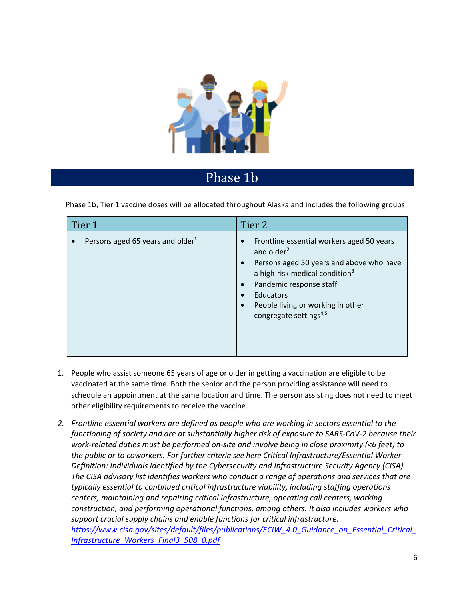

# Phase 1b

Phase 1b, Tier 1 vaccine doses will be allocated throughout Alaska and includes the following groups:

| Tier 1                                       | Tier 2                                                                                                                                                                                                                                                                                                                                            |
|----------------------------------------------|---------------------------------------------------------------------------------------------------------------------------------------------------------------------------------------------------------------------------------------------------------------------------------------------------------------------------------------------------|
| Persons aged 65 years and older <sup>1</sup> | Frontline essential workers aged 50 years<br>$\bullet$<br>and older <sup>2</sup><br>Persons aged 50 years and above who have<br>$\bullet$<br>a high-risk medical condition <sup>3</sup><br>Pandemic response staff<br>$\bullet$<br>Educators<br>$\bullet$<br>People living or working in other<br>$\bullet$<br>congregate settings <sup>4,5</sup> |

- 1. People who assist someone 65 years of age or older in getting a vaccination are eligible to be vaccinated at the same time. Both the senior and the person providing assistance will need to schedule an appointment at the same location and time. The person assisting does not need to meet other eligibility requirements to receive the vaccine.
- *2. Frontline essential workers are defined as people who are working in sectors essential to the functioning of society and are at substantially higher risk of exposure to SARS-CoV-2 because their work-related duties must be performed on-site and involve being in close proximity (<6 feet) to the public or to coworkers. For further criteria see here Critical Infrastructure/Essential Worker Definition: Individuals identified by the Cybersecurity and Infrastructure Security Agency (CISA). The CISA advisory list identifies workers who conduct a range of operations and services that are typically essential to continued critical infrastructure viability, including staffing operations centers, maintaining and repairing critical infrastructure, operating call centers, working construction, and performing operational functions, among others. It also includes workers who support crucial supply chains and enable functions for critical infrastructure. [https://www.cisa.gov/sites/default/files/publications/ECIW\\_4.0\\_Guidance\\_on\\_Essential\\_Critical\\_](https://www.cisa.gov/sites/default/files/publications/ECIW_4.0_Guidance_on_Essential_Critical_Infrastructure_Workers_Final3_508_0.pdf) [Infrastructure\\_Workers\\_Final3\\_508\\_0.pdf](https://www.cisa.gov/sites/default/files/publications/ECIW_4.0_Guidance_on_Essential_Critical_Infrastructure_Workers_Final3_508_0.pdf)*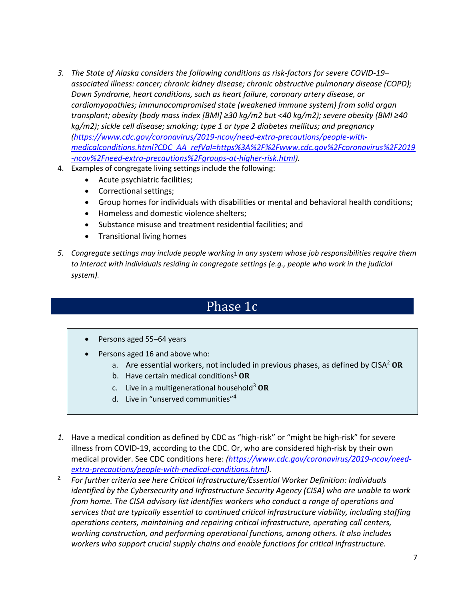- *3. The State of Alaska considers the following conditions as risk-factors for severe COVID-19– associated illness: cancer; chronic kidney disease; chronic obstructive pulmonary disease (COPD); Down Syndrome, heart conditions, such as heart failure, coronary artery disease, or cardiomyopathies; immunocompromised state (weakened immune system) from solid organ transplant; obesity (body mass index [BMI] ≥30 kg/m2 but <40 kg/m2); severe obesity (BMI ≥40 kg/m2); sickle cell disease; smoking; type 1 or type 2 diabetes mellitus; and pregnancy [\(https://www.cdc.gov/coronavirus/2019-ncov/need-extra-precautions/people-with](https://www.cdc.gov/coronavirus/2019-ncov/need-extra-precautions/people-with-medicalconditions.html?CDC_AA_refVal=https%3A%2F%2Fwww.cdc.gov%2Fcoronavirus%2F2019-ncov%2Fneed-extra-precautions%2Fgroups-at-higher-risk.html)[medicalconditions.html?CDC\\_AA\\_refVal=https%3A%2F%2Fwww.cdc.gov%2Fcoronavirus%2F2019](https://www.cdc.gov/coronavirus/2019-ncov/need-extra-precautions/people-with-medicalconditions.html?CDC_AA_refVal=https%3A%2F%2Fwww.cdc.gov%2Fcoronavirus%2F2019-ncov%2Fneed-extra-precautions%2Fgroups-at-higher-risk.html) [-ncov%2Fneed-extra-precautions%2Fgroups-at-higher-risk.html\)](https://www.cdc.gov/coronavirus/2019-ncov/need-extra-precautions/people-with-medicalconditions.html?CDC_AA_refVal=https%3A%2F%2Fwww.cdc.gov%2Fcoronavirus%2F2019-ncov%2Fneed-extra-precautions%2Fgroups-at-higher-risk.html).*
- 4. Examples of congregate living settings include the following:
	- Acute psychiatric facilities;
	- Correctional settings;
	- Group homes for individuals with disabilities or mental and behavioral health conditions;
	- Homeless and domestic violence shelters;
	- Substance misuse and treatment residential facilities; and
	- Transitional living homes
- *5. Congregate settings may include people working in any system whose job responsibilities require them to interact with individuals residing in congregate settings (e.g., people who work in the judicial system).*

## Phase 1c

- Persons aged 55-64 years
- Persons aged 16 and above who:
	- a. Are essential workers, not included in previous phases, as defined by CISA<sup>2</sup> OR
	- b. Have certain medical conditions<sup>1</sup> OR
	- c. Live in a multigenerational household<sup>3</sup> **OR**
	- d. Live in "unserved communities"<sup>4</sup>
- *1.* Have a medical condition as defined by CDC as "high-risk" or "might be high-risk" for severe illness from COVID-19, according to the CDC. Or, who are considered high-risk by their own medical provider. See CDC conditions here: *[\(https://www.cdc.gov/coronavirus/2019-ncov/need](https://www.cdc.gov/coronavirus/2019-ncov/need-extra-precautions/people-with-medical-conditions.html)[extra-precautions/people-with-medical-conditions.html\)](https://www.cdc.gov/coronavirus/2019-ncov/need-extra-precautions/people-with-medical-conditions.html).*
- 2. *For further criteria see here Critical Infrastructure/Essential Worker Definition: Individuals identified by the Cybersecurity and Infrastructure Security Agency (CISA) who are unable to work from home. The CISA advisory list identifies workers who conduct a range of operations and services that are typically essential to continued critical infrastructure viability, including staffing operations centers, maintaining and repairing critical infrastructure, operating call centers, working construction, and performing operational functions, among others. It also includes workers who support crucial supply chains and enable functions for critical infrastructure.*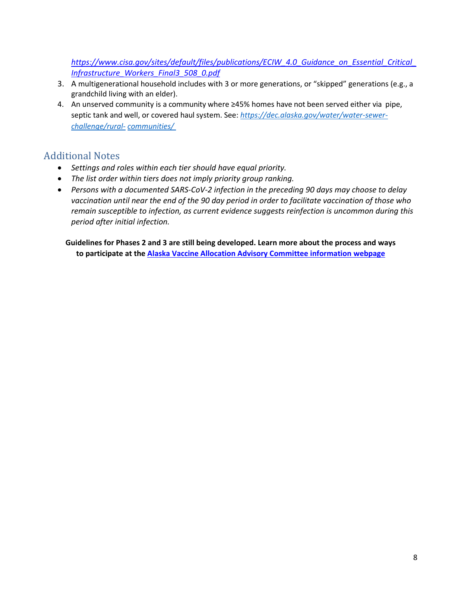*[https://www.cisa.gov/sites/default/files/publications/ECIW\\_4.0\\_Guidance\\_on\\_Essential\\_Critical\\_](https://www.cisa.gov/sites/default/files/publications/ECIW_4.0_Guidance_on_Essential_Critical_Infrastructure_Workers_Final3_508_0.pdf) [Infrastructure\\_Workers\\_Final3\\_508\\_0.pdf](https://www.cisa.gov/sites/default/files/publications/ECIW_4.0_Guidance_on_Essential_Critical_Infrastructure_Workers_Final3_508_0.pdf)*

- 3. A multigenerational household includes with 3 or more generations, or "skipped" generations (e.g., a grandchild living with an elder).
- 4. An unserved community is a community where ≥45% homes have not been served either via pipe, septic tank and well, or covered haul system. See: *[https://dec.alaska.gov/water/water-sewer](https://dec.alaska.gov/water/water-sewer-challenge/rural-communities/)[challenge/rural-](https://dec.alaska.gov/water/water-sewer-challenge/rural-communities/) [communities/](https://dec.alaska.gov/water/water-sewer-challenge/rural-communities/)*

## Additional Notes

- *Settings and roles within each tier should have equal priority.*
- *The list order within tiers does not imply priority group ranking.*
- *Persons with a documented SARS-CoV-2 infection in the preceding 90 days may choose to delay vaccination until near the end of the 90 day period in order to facilitate vaccination of those who remain susceptible to infection, as current evidence suggests reinfection is uncommon during this period after initial infection.*

**Guidelines for Phases 2 and 3 are still being developed. Learn more about the process and ways to participate at the [Alaska Vaccine Allocation Advisory Committee information webpage](http://dhss.alaska.gov/dph/Epi/id/Pages/COVID-19/VaccineAllocation.aspx)**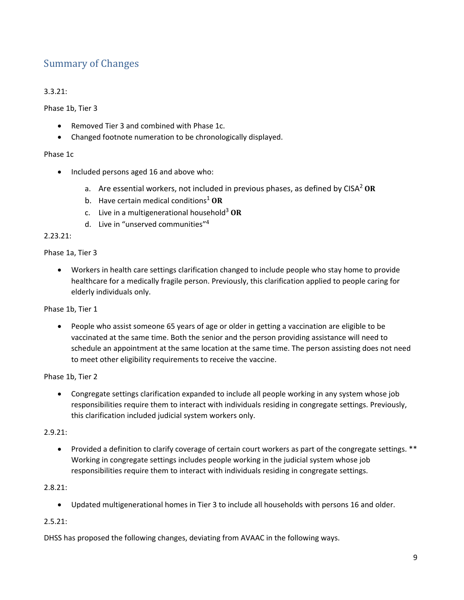## Summary of Changes

## 3.3.21:

Phase 1b, Tier 3

- Removed Tier 3 and combined with Phase 1c.
- Changed footnote numeration to be chronologically displayed.

#### Phase 1c

- Included persons aged 16 and above who:
	- a. Are essential workers, not included in previous phases, as defined by CISA<sup>2</sup> **OR**
	- b. Have certain medical conditions<sup>1</sup> OR
	- c. Live in a multigenerational household<sup>3</sup> **OR**
	- d. Live in "unserved communities"<sup>4</sup>

#### 2.23.21:

#### Phase 1a, Tier 3

• Workers in health care settings clarification changed to include people who stay home to provide healthcare for a medically fragile person. Previously, this clarification applied to people caring for elderly individuals only.

Phase 1b, Tier 1

• People who assist someone 65 years of age or older in getting a vaccination are eligible to be vaccinated at the same time. Both the senior and the person providing assistance will need to schedule an appointment at the same location at the same time. The person assisting does not need to meet other eligibility requirements to receive the vaccine.

Phase 1b, Tier 2

• Congregate settings clarification expanded to include all people working in any system whose job responsibilities require them to interact with individuals residing in congregate settings. Previously, this clarification included judicial system workers only.

#### 2.9.21:

• Provided a definition to clarify coverage of certain court workers as part of the congregate settings. \*\* Working in congregate settings includes people working in the judicial system whose job responsibilities require them to interact with individuals residing in congregate settings.

## 2.8.21:

• Updated multigenerational homes in Tier 3 to include all households with persons 16 and older.

## 2.5.21:

DHSS has proposed the following changes, deviating from AVAAC in the following ways.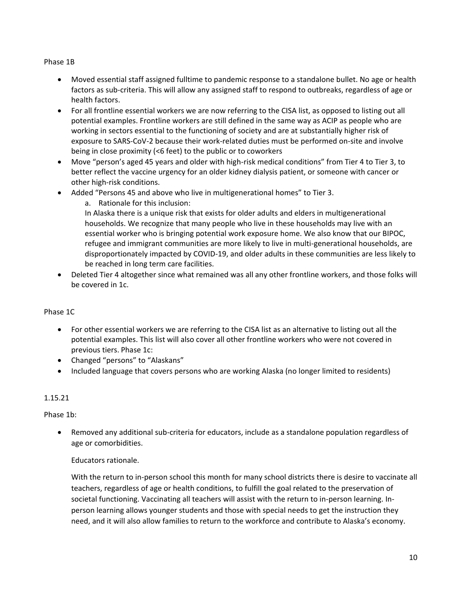#### Phase 1B

- Moved essential staff assigned fulltime to pandemic response to a standalone bullet. No age or health factors as sub-criteria. This will allow any assigned staff to respond to outbreaks, regardless of age or health factors.
- For all frontline essential workers we are now referring to the CISA list, as opposed to listing out all potential examples. Frontline workers are still defined in the same way as ACIP as people who are working in sectors essential to the functioning of society and are at substantially higher risk of exposure to SARS-CoV-2 because their work-related duties must be performed on-site and involve being in close proximity (<6 feet) to the public or to coworkers
- Move "person's aged 45 years and older with high-risk medical conditions" from Tier 4 to Tier 3, to better reflect the vaccine urgency for an older kidney dialysis patient, or someone with cancer or other high-risk conditions.
- Added "Persons 45 and above who live in multigenerational homes" to Tier 3.

a. Rationale for this inclusion:

In Alaska there is a unique risk that exists for older adults and elders in multigenerational households. We recognize that many people who live in these households may live with an essential worker who is bringing potential work exposure home. We also know that our BIPOC, refugee and immigrant communities are more likely to live in multi-generational households, are disproportionately impacted by COVID-19, and older adults in these communities are less likely to be reached in long term care facilities.

• Deleted Tier 4 altogether since what remained was all any other frontline workers, and those folks will be covered in 1c.

#### Phase 1C

- For other essential workers we are referring to the CISA list as an alternative to listing out all the potential examples. This list will also cover all other frontline workers who were not covered in previous tiers. Phase 1c:
- Changed "persons" to "Alaskans"
- Included language that covers persons who are working Alaska (no longer limited to residents)

#### 1.15.21

Phase 1b:

• Removed any additional sub-criteria for educators, include as a standalone population regardless of age or comorbidities.

## Educators rationale.

With the return to in-person school this month for many school districts there is desire to vaccinate all teachers, regardless of age or health conditions, to fulfill the goal related to the preservation of societal functioning. Vaccinating all teachers will assist with the return to in-person learning. Inperson learning allows younger students and those with special needs to get the instruction they need, and it will also allow families to return to the workforce and contribute to Alaska's economy.